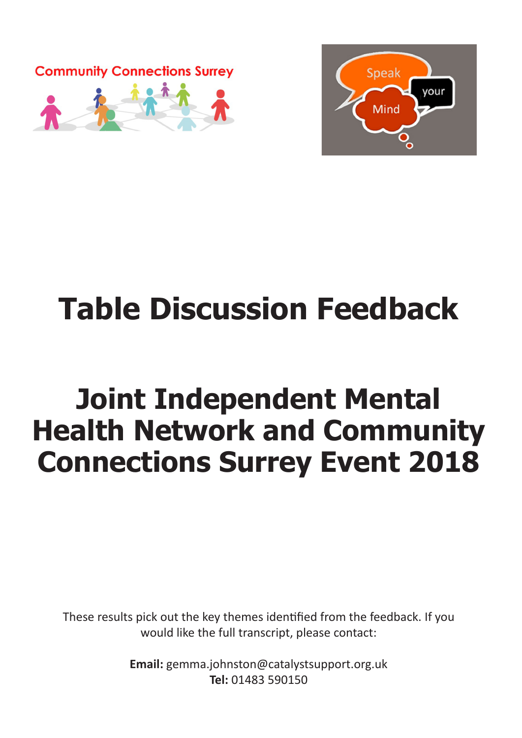



# **Table Discussion Feedback**

## **Joint Independent Mental Health Network and Community Connections Surrey Event 2018**

These results pick out the key themes identified from the feedback. If you would like the full transcript, please contact:

> **Email:** gemma.johnston@catalystsupport.org.uk **Tel:** 01483 590150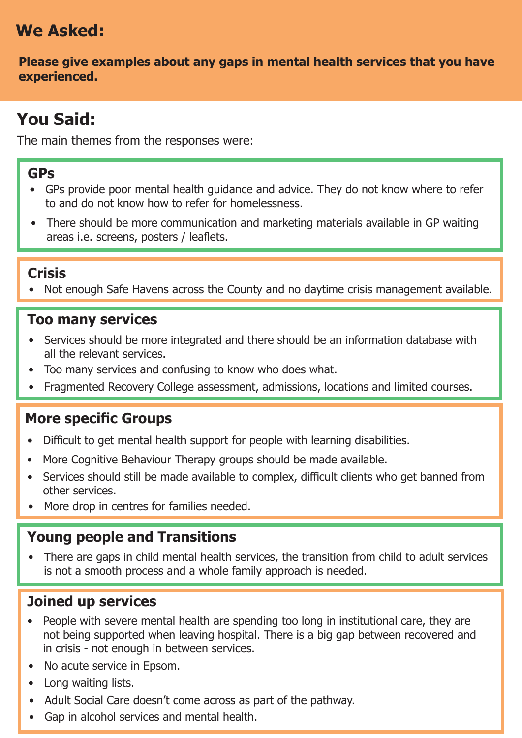## **We Asked:**

**Please give examples about any gaps in mental health services that you have experienced.**

## **You Said:**

The main themes from the responses were:

#### **GPs**

- GPs provide poor mental health guidance and advice. They do not know where to refer to and do not know how to refer for homelessness.
- There should be more communication and marketing materials available in GP waiting areas i.e. screens, posters / leaflets.

#### **Crisis**

• Not enough Safe Havens across the County and no daytime crisis management available.

#### **Too many services**

- Services should be more integrated and there should be an information database with all the relevant services.
- Too many services and confusing to know who does what.
- Fragmented Recovery College assessment, admissions, locations and limited courses.

#### **More specific Groups**

- Difficult to get mental health support for people with learning disabilities.
- More Cognitive Behaviour Therapy groups should be made available.
- Services should still be made available to complex, difficult clients who get banned from other services.
- More drop in centres for families needed.

#### **Young people and Transitions**

• There are gaps in child mental health services, the transition from child to adult services is not a smooth process and a whole family approach is needed.

#### **Joined up services**

- People with severe mental health are spending too long in institutional care, they are not being supported when leaving hospital. There is a big gap between recovered and in crisis - not enough in between services.
- No acute service in Epsom.
- Long waiting lists.
- Adult Social Care doesn't come across as part of the pathway.
- Gap in alcohol services and mental health.